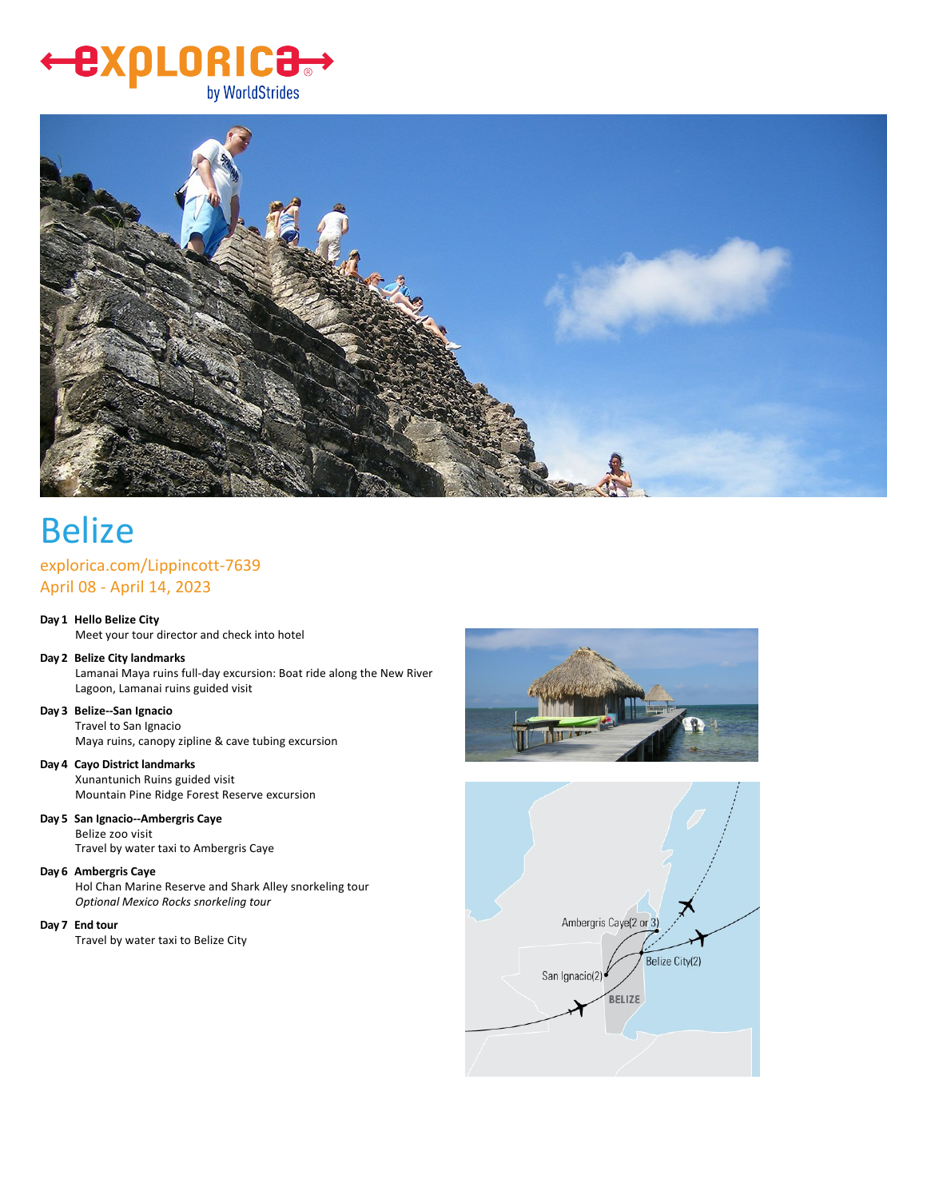# ← **EXPLORICE**



# Belize

#### explorica.com/Lippincott‐7639 April 08 ‐ April 14, 2023

**Day 1 Hello Belize City**

Meet your tour director and check into hotel

#### **Day 2 Belize City landmarks**

Lamanai Maya ruins full‐day excursion: Boat ride along the New River Lagoon, Lamanai ruins guided visit

#### **Day 3 Belize‐‐San Ignacio** Travel to San Ignacio

Maya ruins, canopy zipline & cave tubing excursion

### **Day 4 Cayo District landmarks**

Xunantunich Ruins guided visit Mountain Pine Ridge Forest Reserve excursion

#### **Day 5 San Ignacio‐‐Ambergris Caye**

Belize zoo visit

Travel by water taxi to Ambergris Caye

#### **Day 6 Ambergris Caye**

Hol Chan Marine Reserve and Shark Alley snorkeling tour *Optional Mexico Rocks snorkeling tour*

#### **Day 7 End tour**

Travel by water taxi to Belize City